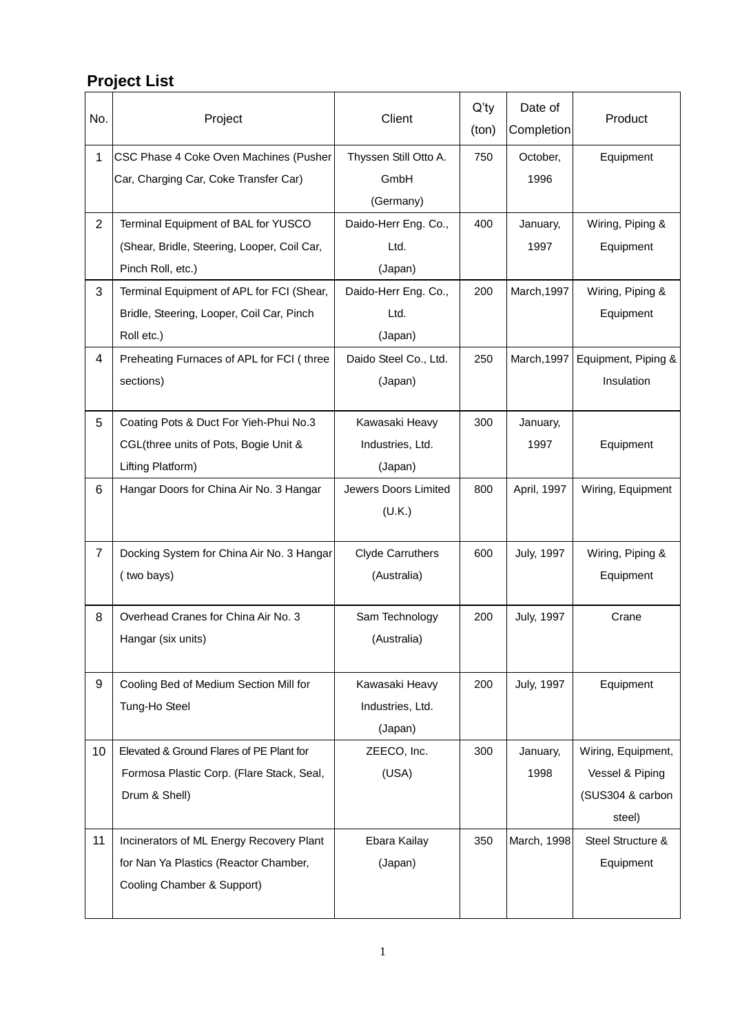## **Project List**

| No.            | Project                                     | Client                      | $Q'$ ty<br>(ton) | Date of<br>Completion | Product             |
|----------------|---------------------------------------------|-----------------------------|------------------|-----------------------|---------------------|
| $\mathbf{1}$   | CSC Phase 4 Coke Oven Machines (Pusher      | Thyssen Still Otto A.       | 750              | October,              | Equipment           |
|                | Car, Charging Car, Coke Transfer Car)       | GmbH                        |                  | 1996                  |                     |
|                |                                             | (Germany)                   |                  |                       |                     |
| $\overline{2}$ | Terminal Equipment of BAL for YUSCO         | Daido-Herr Eng. Co.,        | 400              | January,              | Wiring, Piping &    |
|                | (Shear, Bridle, Steering, Looper, Coil Car, | Ltd.                        |                  | 1997                  | Equipment           |
|                | Pinch Roll, etc.)                           | (Japan)                     |                  |                       |                     |
| 3              | Terminal Equipment of APL for FCI (Shear,   | Daido-Herr Eng. Co.,        | 200              | March, 1997           | Wiring, Piping &    |
|                | Bridle, Steering, Looper, Coil Car, Pinch   | Ltd.                        |                  |                       | Equipment           |
|                | Roll etc.)                                  | (Japan)                     |                  |                       |                     |
| 4              | Preheating Furnaces of APL for FCI (three   | Daido Steel Co., Ltd.       | 250              | March, 1997           | Equipment, Piping & |
|                | sections)                                   | (Japan)                     |                  |                       | Insulation          |
|                |                                             |                             |                  |                       |                     |
| 5              | Coating Pots & Duct For Yieh-Phui No.3      | Kawasaki Heavy              | 300              | January,              |                     |
|                | CGL(three units of Pots, Bogie Unit &       | Industries, Ltd.            |                  | 1997                  | Equipment           |
|                | Lifting Platform)                           | (Japan)                     |                  |                       |                     |
| 6              | Hangar Doors for China Air No. 3 Hangar     | <b>Jewers Doors Limited</b> | 800              | April, 1997           | Wiring, Equipment   |
|                |                                             | (U.K.)                      |                  |                       |                     |
|                |                                             |                             |                  |                       |                     |
| $\overline{7}$ | Docking System for China Air No. 3 Hangar   | <b>Clyde Carruthers</b>     | 600              | July, 1997            | Wiring, Piping &    |
|                | (two bays)                                  | (Australia)                 |                  |                       | Equipment           |
|                |                                             |                             |                  |                       |                     |
| 8              | Overhead Cranes for China Air No. 3         | Sam Technology              | 200              | <b>July, 1997</b>     | Crane               |
|                | Hangar (six units)                          | (Australia)                 |                  |                       |                     |
|                |                                             |                             |                  |                       |                     |
| 9              | Cooling Bed of Medium Section Mill for      | Kawasaki Heavy              | 200              | <b>July, 1997</b>     | Equipment           |
|                | Tung-Ho Steel                               | Industries, Ltd.            |                  |                       |                     |
|                |                                             | (Japan)                     |                  |                       |                     |
| 10             | Elevated & Ground Flares of PE Plant for    | ZEECO, Inc.                 | 300              | January,              | Wiring, Equipment,  |
|                | Formosa Plastic Corp. (Flare Stack, Seal,   | (USA)                       |                  | 1998                  | Vessel & Piping     |
|                | Drum & Shell)                               |                             |                  |                       | (SUS304 & carbon    |
|                |                                             |                             |                  |                       | steel)              |
| 11             | Incinerators of ML Energy Recovery Plant    | Ebara Kailay                | 350              | March, 1998           | Steel Structure &   |
|                | for Nan Ya Plastics (Reactor Chamber,       | (Japan)                     |                  |                       | Equipment           |
|                | Cooling Chamber & Support)                  |                             |                  |                       |                     |
|                |                                             |                             |                  |                       |                     |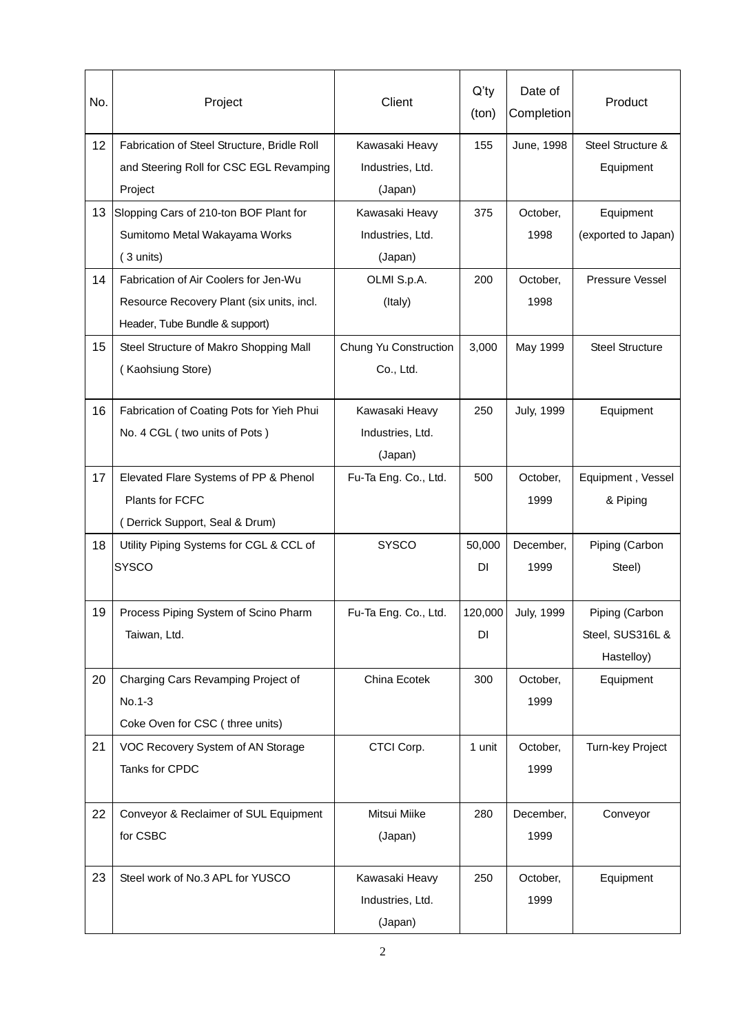| No. | Project                                     | Client                | $Q'$ ty<br>(ton) | Date of<br>Completion | Product                |
|-----|---------------------------------------------|-----------------------|------------------|-----------------------|------------------------|
| 12  | Fabrication of Steel Structure, Bridle Roll | Kawasaki Heavy        | 155              | June, 1998            | Steel Structure &      |
|     | and Steering Roll for CSC EGL Revamping     | Industries, Ltd.      |                  |                       | Equipment              |
|     | Project                                     | (Japan)               |                  |                       |                        |
| 13  | Slopping Cars of 210-ton BOF Plant for      | Kawasaki Heavy        | 375              | October,              | Equipment              |
|     | Sumitomo Metal Wakayama Works               | Industries, Ltd.      |                  | 1998                  | (exported to Japan)    |
|     | $(3$ units)                                 | (Japan)               |                  |                       |                        |
| 14  | Fabrication of Air Coolers for Jen-Wu       | OLMI S.p.A.           | 200              | October,              | Pressure Vessel        |
|     | Resource Recovery Plant (six units, incl.   | (Italy)               |                  | 1998                  |                        |
|     | Header, Tube Bundle & support)              |                       |                  |                       |                        |
| 15  | Steel Structure of Makro Shopping Mall      | Chung Yu Construction | 3,000            | May 1999              | <b>Steel Structure</b> |
|     | (Kaohsiung Store)                           | Co., Ltd.             |                  |                       |                        |
|     |                                             |                       |                  |                       |                        |
| 16  | Fabrication of Coating Pots for Yieh Phui   | Kawasaki Heavy        | 250              | <b>July, 1999</b>     | Equipment              |
|     | No. 4 CGL (two units of Pots)               | Industries, Ltd.      |                  |                       |                        |
|     |                                             | (Japan)               |                  |                       |                        |
| 17  | Elevated Flare Systems of PP & Phenol       | Fu-Ta Eng. Co., Ltd.  | 500              | October,              | Equipment, Vessel      |
|     | Plants for FCFC                             |                       |                  | 1999                  | & Piping               |
|     | (Derrick Support, Seal & Drum)              |                       |                  |                       |                        |
| 18  | Utility Piping Systems for CGL & CCL of     | <b>SYSCO</b>          | 50,000           | December,             | Piping (Carbon         |
|     | <b>SYSCO</b>                                |                       | <b>DI</b>        | 1999                  | Steel)                 |
|     |                                             |                       |                  |                       |                        |
| 19  | Process Piping System of Scino Pharm        | Fu-Ta Eng. Co., Ltd.  | 120,000          | <b>July, 1999</b>     | Piping (Carbon         |
|     | Taiwan, Ltd.                                |                       | <b>DI</b>        |                       | Steel, SUS316L &       |
|     |                                             |                       |                  |                       | Hastelloy)             |
| 20  | Charging Cars Revamping Project of          | China Ecotek          | 300              | October,              | Equipment              |
|     | No.1-3                                      |                       |                  | 1999                  |                        |
|     | Coke Oven for CSC (three units)             |                       |                  |                       |                        |
| 21  | VOC Recovery System of AN Storage           | CTCI Corp.            | 1 unit           | October,              | Turn-key Project       |
|     | Tanks for CPDC                              |                       |                  | 1999                  |                        |
|     |                                             |                       |                  |                       |                        |
| 22  | Conveyor & Reclaimer of SUL Equipment       | Mitsui Miike          | 280              | December,             | Conveyor               |
|     | for CSBC                                    | (Japan)               |                  | 1999                  |                        |
|     |                                             |                       |                  |                       |                        |
| 23  | Steel work of No.3 APL for YUSCO            | Kawasaki Heavy        | 250              | October,              | Equipment              |
|     |                                             | Industries, Ltd.      |                  | 1999                  |                        |
|     |                                             | (Japan)               |                  |                       |                        |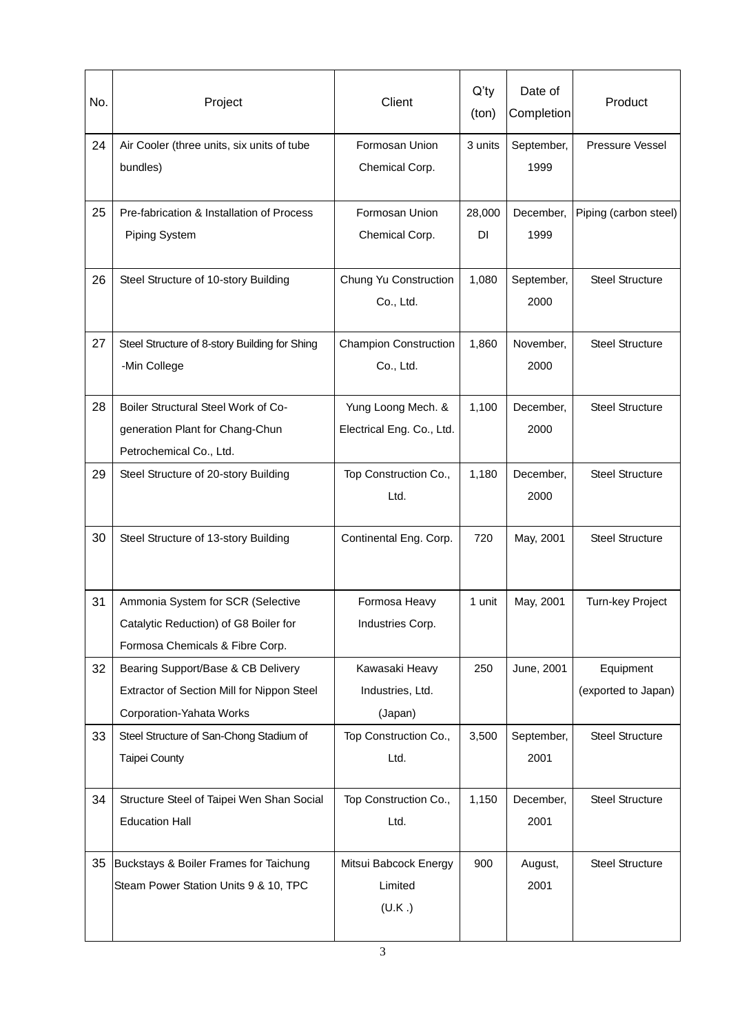| No. | Project                                                                                                       | Client                                          | $Q'$ ty<br>(ton)    | Date of<br>Completion | Product                          |
|-----|---------------------------------------------------------------------------------------------------------------|-------------------------------------------------|---------------------|-----------------------|----------------------------------|
| 24  | Air Cooler (three units, six units of tube<br>bundles)                                                        | Formosan Union<br>Chemical Corp.                | 3 units             | September,<br>1999    | Pressure Vessel                  |
| 25  | Pre-fabrication & Installation of Process<br><b>Piping System</b>                                             | Formosan Union<br>Chemical Corp.                | 28,000<br><b>DI</b> | December,<br>1999     | Piping (carbon steel)            |
| 26  | Steel Structure of 10-story Building                                                                          | Chung Yu Construction<br>Co., Ltd.              | 1,080               | September,<br>2000    | <b>Steel Structure</b>           |
| 27  | Steel Structure of 8-story Building for Shing<br>-Min College                                                 | <b>Champion Construction</b><br>Co., Ltd.       | 1,860               | November,<br>2000     | <b>Steel Structure</b>           |
| 28  | Boiler Structural Steel Work of Co-<br>generation Plant for Chang-Chun<br>Petrochemical Co., Ltd.             | Yung Loong Mech. &<br>Electrical Eng. Co., Ltd. | 1,100               | December,<br>2000     | <b>Steel Structure</b>           |
| 29  | Steel Structure of 20-story Building                                                                          | Top Construction Co.,<br>Ltd.                   | 1,180               | December,<br>2000     | <b>Steel Structure</b>           |
| 30  | Steel Structure of 13-story Building                                                                          | Continental Eng. Corp.                          | 720                 | May, 2001             | <b>Steel Structure</b>           |
| 31  | Ammonia System for SCR (Selective<br>Catalytic Reduction) of G8 Boiler for<br>Formosa Chemicals & Fibre Corp. | Formosa Heavy<br>Industries Corp.               | 1 unit              | May, 2001             | Turn-key Project                 |
| 32  | Bearing Support/Base & CB Delivery<br>Extractor of Section Mill for Nippon Steel<br>Corporation-Yahata Works  | Kawasaki Heavy<br>Industries, Ltd.<br>(Japan)   | 250                 | June, 2001            | Equipment<br>(exported to Japan) |
| 33  | Steel Structure of San-Chong Stadium of<br><b>Taipei County</b>                                               | Top Construction Co.,<br>Ltd.                   | 3,500               | September,<br>2001    | <b>Steel Structure</b>           |
| 34  | Structure Steel of Taipei Wen Shan Social<br><b>Education Hall</b>                                            | Top Construction Co.,<br>Ltd.                   | 1,150               | December,<br>2001     | <b>Steel Structure</b>           |
| 35  | Buckstays & Boiler Frames for Taichung<br>Steam Power Station Units 9 & 10, TPC                               | Mitsui Babcock Energy<br>Limited<br>(U.K.)      | 900                 | August,<br>2001       | <b>Steel Structure</b>           |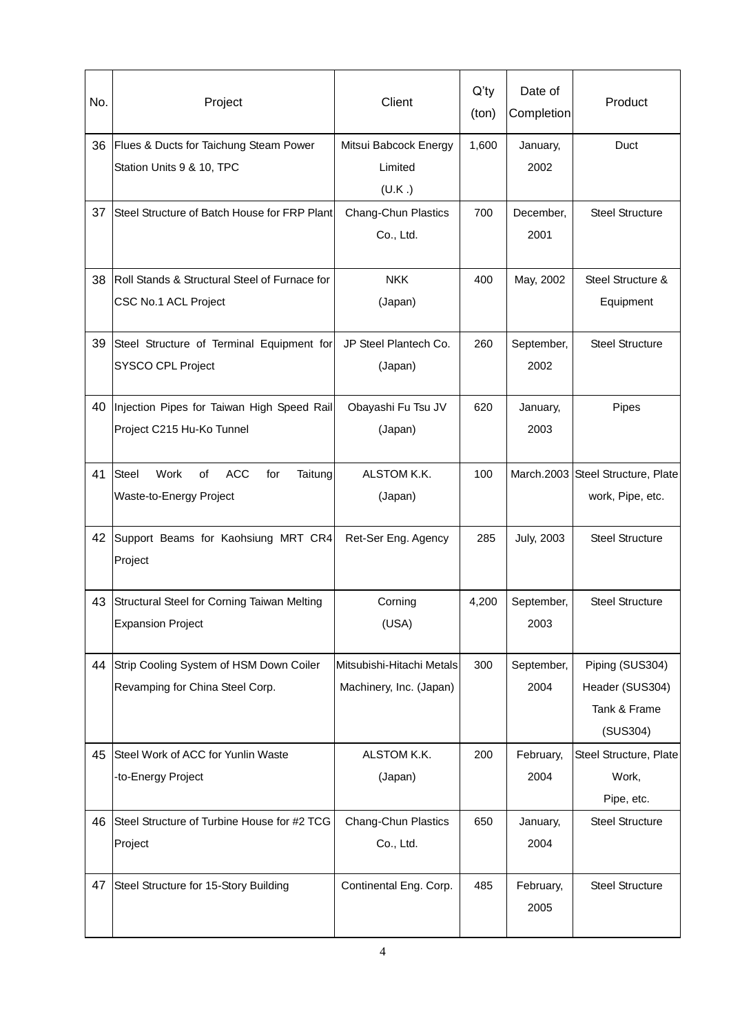| No. | Project                                                  | Client                     | $Q'$ ty<br>(ton) | Date of<br>Completion | Product                           |
|-----|----------------------------------------------------------|----------------------------|------------------|-----------------------|-----------------------------------|
| 36  | Flues & Ducts for Taichung Steam Power                   | Mitsui Babcock Energy      | 1,600            | January,              | Duct                              |
|     | Station Units 9 & 10, TPC                                | Limited<br>(U.K.)          |                  | 2002                  |                                   |
| 37  | Steel Structure of Batch House for FRP Plant             | <b>Chang-Chun Plastics</b> | 700              | December,             | <b>Steel Structure</b>            |
|     |                                                          | Co., Ltd.                  |                  | 2001                  |                                   |
| 38  | Roll Stands & Structural Steel of Furnace for            | <b>NKK</b>                 | 400              | May, 2002             | Steel Structure &                 |
|     | CSC No.1 ACL Project                                     | (Japan)                    |                  |                       | Equipment                         |
| 39  | Steel Structure of Terminal Equipment for                | JP Steel Plantech Co.      | 260              | September,            | <b>Steel Structure</b>            |
|     | SYSCO CPL Project                                        | (Japan)                    |                  | 2002                  |                                   |
| 40  | Injection Pipes for Taiwan High Speed Rail               | Obayashi Fu Tsu JV         | 620              | January,              | Pipes                             |
|     | Project C215 Hu-Ko Tunnel                                | (Japan)                    |                  | 2003                  |                                   |
| 41  | <b>ACC</b><br>Steel<br>Work<br>Taitung<br>οf<br>for      | ALSTOM K.K.                | 100              |                       | March.2003 Steel Structure, Plate |
|     | Waste-to-Energy Project                                  | (Japan)                    |                  |                       | work, Pipe, etc.                  |
| 42  | Support Beams for Kaohsiung MRT CR4                      | Ret-Ser Eng. Agency        | 285              | <b>July, 2003</b>     | <b>Steel Structure</b>            |
|     | Project                                                  |                            |                  |                       |                                   |
| 43  | Structural Steel for Corning Taiwan Melting              | Corning                    | 4,200            | September,            | <b>Steel Structure</b>            |
|     | <b>Expansion Project</b>                                 | (USA)                      |                  | 2003                  |                                   |
| 44  | Strip Cooling System of HSM Down Coiler                  | Mitsubishi-Hitachi Metals  | 300              | September,            | Piping (SUS304)                   |
|     | Revamping for China Steel Corp.                          | Machinery, Inc. (Japan)    |                  | 2004                  | Header (SUS304)                   |
|     |                                                          |                            |                  |                       | Tank & Frame                      |
|     |                                                          |                            |                  |                       | (SUS304)                          |
| 45  | Steel Work of ACC for Yunlin Waste<br>-to-Energy Project | ALSTOM K.K.<br>(Japan)     | 200              | February,<br>2004     | Steel Structure, Plate<br>Work,   |
|     |                                                          |                            |                  |                       | Pipe, etc.                        |
| 46  | Steel Structure of Turbine House for #2 TCG              | Chang-Chun Plastics        | 650              | January,              | <b>Steel Structure</b>            |
|     | Project                                                  | Co., Ltd.                  |                  | 2004                  |                                   |
| 47  | Steel Structure for 15-Story Building                    | Continental Eng. Corp.     | 485              | February,             | <b>Steel Structure</b>            |
|     |                                                          |                            |                  | 2005                  |                                   |
|     |                                                          |                            |                  |                       |                                   |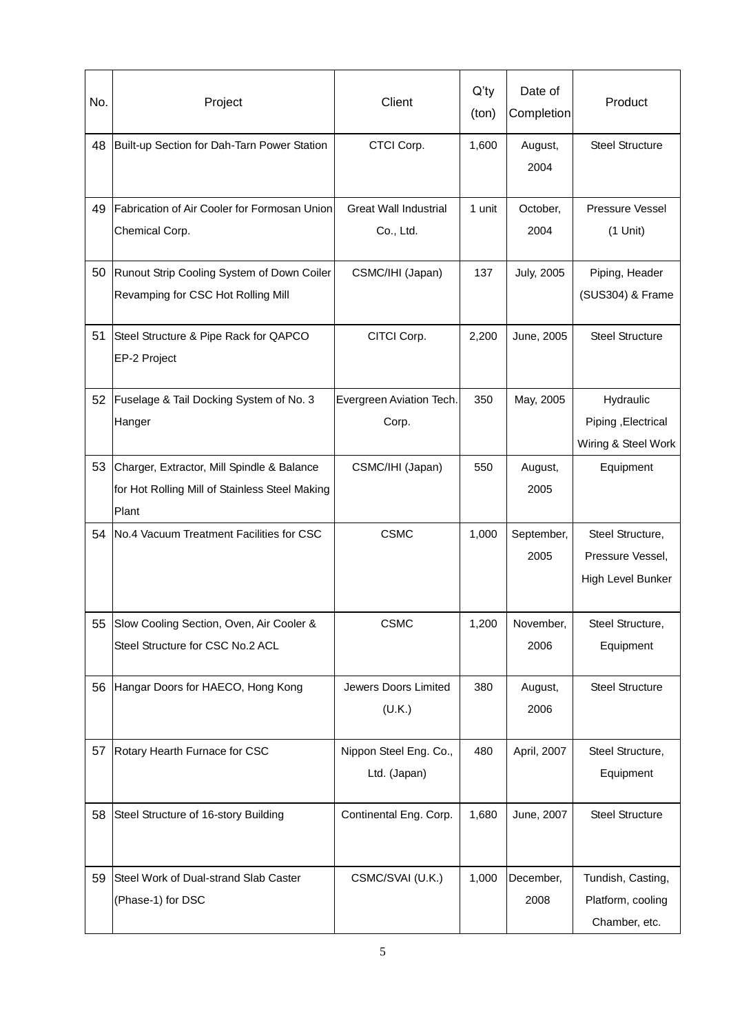| No. | Project                                        | Client                       | $Q'$ ty<br>(ton) | Date of<br>Completion | Product                               |
|-----|------------------------------------------------|------------------------------|------------------|-----------------------|---------------------------------------|
| 48  | Built-up Section for Dah-Tarn Power Station    | CTCI Corp.                   | 1,600            | August,<br>2004       | <b>Steel Structure</b>                |
| 49  | Fabrication of Air Cooler for Formosan Union   | <b>Great Wall Industrial</b> | 1 unit           | October,              | Pressure Vessel                       |
|     | Chemical Corp.                                 | Co., Ltd.                    |                  | 2004                  | $(1$ Unit)                            |
| 50  | Runout Strip Cooling System of Down Coiler     | CSMC/IHI (Japan)             | 137              | <b>July, 2005</b>     | Piping, Header                        |
|     | Revamping for CSC Hot Rolling Mill             |                              |                  |                       | (SUS304) & Frame                      |
| 51  | Steel Structure & Pipe Rack for QAPCO          | CITCI Corp.                  | 2,200            | June, 2005            | <b>Steel Structure</b>                |
|     | EP-2 Project                                   |                              |                  |                       |                                       |
| 52  | Fuselage & Tail Docking System of No. 3        | Evergreen Aviation Tech.     | 350              | May, 2005             | Hydraulic                             |
|     | Hanger                                         | Corp.                        |                  |                       | Piping, Electrical                    |
|     |                                                |                              |                  |                       | Wiring & Steel Work                   |
| 53  | Charger, Extractor, Mill Spindle & Balance     | CSMC/IHI (Japan)             | 550              | August,               | Equipment                             |
|     | for Hot Rolling Mill of Stainless Steel Making |                              |                  | 2005                  |                                       |
|     | Plant                                          |                              |                  |                       |                                       |
| 54  | No.4 Vacuum Treatment Facilities for CSC       | <b>CSMC</b>                  | 1,000            | September,            | Steel Structure,                      |
|     |                                                |                              |                  | 2005                  | Pressure Vessel,<br>High Level Bunker |
|     |                                                |                              |                  |                       |                                       |
| 55  | Slow Cooling Section, Oven, Air Cooler &       | <b>CSMC</b>                  | 1,200            | November,             | Steel Structure,                      |
|     | Steel Structure for CSC No.2 ACL               |                              |                  | 2006                  | Equipment                             |
|     |                                                |                              |                  |                       |                                       |
| 56  | Hangar Doors for HAECO, Hong Kong              | Jewers Doors Limited         | 380              | August,               | <b>Steel Structure</b>                |
|     |                                                | (U.K.)                       |                  | 2006                  |                                       |
| 57  | Rotary Hearth Furnace for CSC                  | Nippon Steel Eng. Co.,       | 480              | April, 2007           | Steel Structure,                      |
|     |                                                | Ltd. (Japan)                 |                  |                       | Equipment                             |
|     |                                                |                              |                  |                       |                                       |
| 58  | Steel Structure of 16-story Building           | Continental Eng. Corp.       | 1,680            | June, 2007            | <b>Steel Structure</b>                |
|     |                                                |                              |                  |                       |                                       |
| 59  | Steel Work of Dual-strand Slab Caster          | CSMC/SVAI (U.K.)             | 1,000            | December,             | Tundish, Casting,                     |
|     | (Phase-1) for DSC                              |                              |                  | 2008                  | Platform, cooling                     |
|     |                                                |                              |                  |                       | Chamber, etc.                         |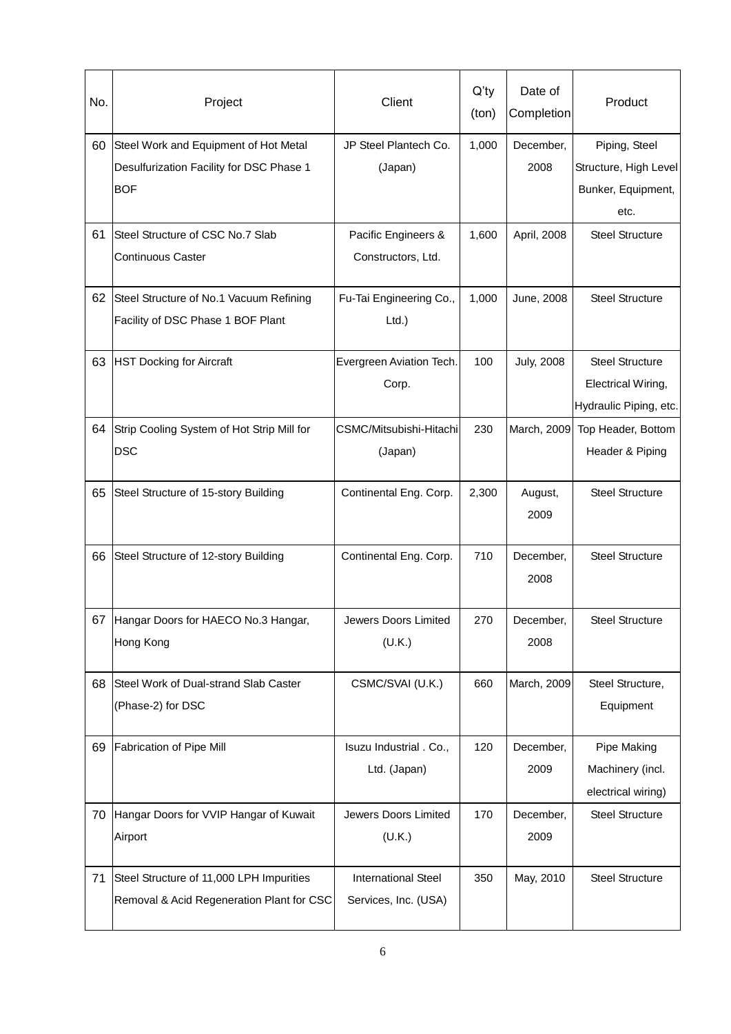| No. | Project                                                                                         | Client                                             | $Q'$ ty<br>(ton) | Date of<br>Completion | Product                                                                |
|-----|-------------------------------------------------------------------------------------------------|----------------------------------------------------|------------------|-----------------------|------------------------------------------------------------------------|
| 60  | Steel Work and Equipment of Hot Metal<br>Desulfurization Facility for DSC Phase 1<br><b>BOF</b> | JP Steel Plantech Co.<br>(Japan)                   | 1,000            | December,<br>2008     | Piping, Steel<br>Structure, High Level<br>Bunker, Equipment,<br>etc.   |
| 61  | Steel Structure of CSC No.7 Slab<br><b>Continuous Caster</b>                                    | Pacific Engineers &<br>Constructors, Ltd.          | 1,600            | April, 2008           | <b>Steel Structure</b>                                                 |
| 62  | Steel Structure of No.1 Vacuum Refining<br>Facility of DSC Phase 1 BOF Plant                    | Fu-Tai Engineering Co.,<br>$Ltd.$ )                | 1,000            | June, 2008            | <b>Steel Structure</b>                                                 |
| 63  | <b>HST Docking for Aircraft</b>                                                                 | Evergreen Aviation Tech.<br>Corp.                  | 100              | <b>July, 2008</b>     | <b>Steel Structure</b><br>Electrical Wiring,<br>Hydraulic Piping, etc. |
| 64  | Strip Cooling System of Hot Strip Mill for<br><b>DSC</b>                                        | CSMC/Mitsubishi-Hitachi<br>(Japan)                 | 230              | March, 2009           | Top Header, Bottom<br>Header & Piping                                  |
| 65  | Steel Structure of 15-story Building                                                            | Continental Eng. Corp.                             | 2,300            | August,<br>2009       | <b>Steel Structure</b>                                                 |
| 66  | Steel Structure of 12-story Building                                                            | Continental Eng. Corp.                             | 710              | December,<br>2008     | <b>Steel Structure</b>                                                 |
|     | 67 Hangar Doors for HAECO No.3 Hangar,<br>Hong Kong                                             | Jewers Doors Limited<br>(U.K.)                     | 270              | December,<br>2008     | <b>Steel Structure</b>                                                 |
| 68  | Steel Work of Dual-strand Slab Caster<br>(Phase-2) for DSC                                      | CSMC/SVAI (U.K.)                                   | 660              | March, 2009           | Steel Structure,<br>Equipment                                          |
| 69  | Fabrication of Pipe Mill                                                                        | Isuzu Industrial . Co.,<br>Ltd. (Japan)            | 120              | December,<br>2009     | Pipe Making<br>Machinery (incl.<br>electrical wiring)                  |
| 70  | Hangar Doors for VVIP Hangar of Kuwait<br>Airport                                               | Jewers Doors Limited<br>(U.K.)                     | 170              | December,<br>2009     | <b>Steel Structure</b>                                                 |
| 71  | Steel Structure of 11,000 LPH Impurities<br>Removal & Acid Regeneration Plant for CSC           | <b>International Steel</b><br>Services, Inc. (USA) | 350              | May, 2010             | <b>Steel Structure</b>                                                 |